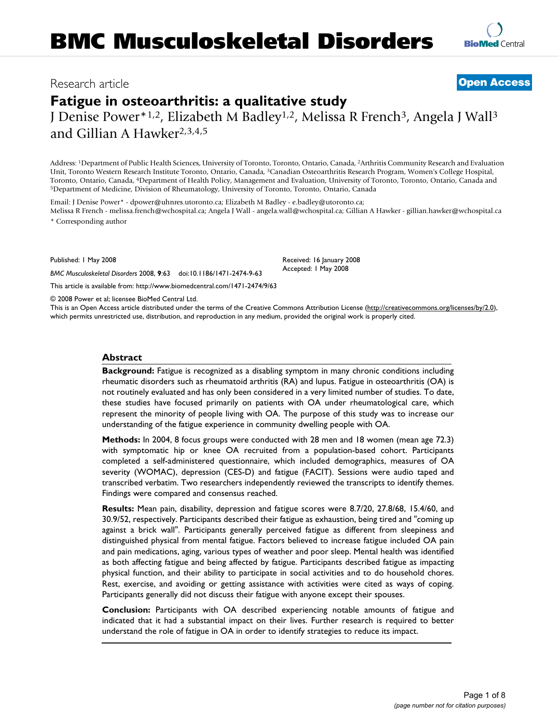# Research article **[Open Access](http://www.biomedcentral.com/info/about/charter/)**

## **Fatigue in osteoarthritis: a qualitative study**

J Denise Power\*1,2, Elizabeth M Badley1,2, Melissa R French3, Angela J Wall3 and Gillian A Hawker2,3,4,5

Address: 1Department of Public Health Sciences, University of Toronto, Toronto, Ontario, Canada, 2Arthritis Community Research and Evaluation Unit, Toronto Western Research Institute Toronto, Ontario, Canada, 3Canadian Osteoarthritis Research Program, Women's College Hospital, Toronto, Ontario, Canada, <sup>4</sup>Department of Health Policy, Management and Evaluation, University of Toronto, Toronto, Ontario, Canada and 5Department of Medicine, Division of Rheumatology, University of Toronto, Ontario, Ca

Email: J Denise Power\* - dpower@uhnres.utoronto.ca; Elizabeth M Badley - e.badley@utoronto.ca;

Melissa R French - melissa.french@wchospital.ca; Angela J Wall - angela.wall@wchospital.ca; Gillian A Hawker - gillian.hawker@wchospital.ca \* Corresponding author

> Received: 16 January 2008 Accepted: 1 May 2008

Published: 1 May 2008

*BMC Musculoskeletal Disorders* 2008, **9**:63 doi:10.1186/1471-2474-9-63

[This article is available from: http://www.biomedcentral.com/1471-2474/9/63](http://www.biomedcentral.com/1471-2474/9/63)

© 2008 Power et al; licensee BioMed Central Ltd.

This is an Open Access article distributed under the terms of the Creative Commons Attribution License [\(http://creativecommons.org/licenses/by/2.0\)](http://creativecommons.org/licenses/by/2.0), which permits unrestricted use, distribution, and reproduction in any medium, provided the original work is properly cited.

### **Abstract**

**Background:** Fatigue is recognized as a disabling symptom in many chronic conditions including rheumatic disorders such as rheumatoid arthritis (RA) and lupus. Fatigue in osteoarthritis (OA) is not routinely evaluated and has only been considered in a very limited number of studies. To date, these studies have focused primarily on patients with OA under rheumatological care, which represent the minority of people living with OA. The purpose of this study was to increase our understanding of the fatigue experience in community dwelling people with OA.

**Methods:** In 2004, 8 focus groups were conducted with 28 men and 18 women (mean age 72.3) with symptomatic hip or knee OA recruited from a population-based cohort. Participants completed a self-administered questionnaire, which included demographics, measures of OA severity (WOMAC), depression (CES-D) and fatigue (FACIT). Sessions were audio taped and transcribed verbatim. Two researchers independently reviewed the transcripts to identify themes. Findings were compared and consensus reached.

**Results:** Mean pain, disability, depression and fatigue scores were 8.7/20, 27.8/68, 15.4/60, and 30.9/52, respectively. Participants described their fatigue as exhaustion, being tired and "coming up against a brick wall". Participants generally perceived fatigue as different from sleepiness and distinguished physical from mental fatigue. Factors believed to increase fatigue included OA pain and pain medications, aging, various types of weather and poor sleep. Mental health was identified as both affecting fatigue and being affected by fatigue. Participants described fatigue as impacting physical function, and their ability to participate in social activities and to do household chores. Rest, exercise, and avoiding or getting assistance with activities were cited as ways of coping. Participants generally did not discuss their fatigue with anyone except their spouses.

**Conclusion:** Participants with OA described experiencing notable amounts of fatigue and indicated that it had a substantial impact on their lives. Further research is required to better understand the role of fatigue in OA in order to identify strategies to reduce its impact.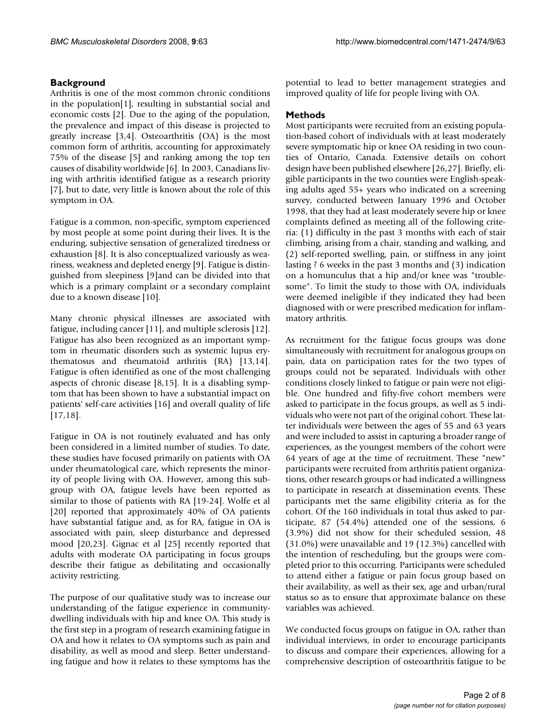## **Background**

Arthritis is one of the most common chronic conditions in the population[1], resulting in substantial social and economic costs [\[2](#page-6-0)]. Due to the aging of the population, the prevalence and impact of this disease is projected to greatly increase [3,4]. Osteoarthritis (OA) is the most common form of arthritis, accounting for approximately 75% of the disease [5] and ranking among the top ten causes of disability worldwide [6]. In 2003, Canadians living with arthritis identified fatigue as a research priority [7], but to date, very little is known about the role of this symptom in OA.

Fatigue is a common, non-specific, symptom experienced by most people at some point during their lives. It is the enduring, subjective sensation of generalized tiredness or exhaustion [8]. It is also conceptualized variously as weariness, weakness and depleted energy [9]. Fatigue is distinguished from sleepiness [9]and can be divided into that which is a primary complaint or a secondary complaint due to a known disease [10].

Many chronic physical illnesses are associated with fatigue, including cancer [11], and multiple sclerosis [12]. Fatigue has also been recognized as an important symptom in rheumatic disorders such as systemic lupus erythematosus and rheumatoid arthritis (RA) [13,14]. Fatigue is often identified as one of the most challenging aspects of chronic disease [8,15]. It is a disabling symptom that has been shown to have a substantial impact on patients' self-care activities [16] and overall quality of life [17,18].

Fatigue in OA is not routinely evaluated and has only been considered in a limited number of studies. To date, these studies have focused primarily on patients with OA under rheumatological care, which represents the minority of people living with OA. However, among this subgroup with OA, fatigue levels have been reported as similar to those of patients with RA [19-24]. Wolfe et al [20] reported that approximately 40% of OA patients have substantial fatigue and, as for RA, fatigue in OA is associated with pain, sleep disturbance and depressed mood [20,23]. Gignac et al [25] recently reported that adults with moderate OA participating in focus groups describe their fatigue as debilitating and occasionally activity restricting.

The purpose of our qualitative study was to increase our understanding of the fatigue experience in communitydwelling individuals with hip and knee OA. This study is the first step in a program of research examining fatigue in OA and how it relates to OA symptoms such as pain and disability, as well as mood and sleep. Better understanding fatigue and how it relates to these symptoms has the potential to lead to better management strategies and improved quality of life for people living with OA.

## **Methods**

Most participants were recruited from an existing population-based cohort of individuals with at least moderately severe symptomatic hip or knee OA residing in two counties of Ontario, Canada. Extensive details on cohort design have been published elsewhere [26,27]. Briefly, eligible participants in the two counties were English-speaking adults aged 55+ years who indicated on a screening survey, conducted between January 1996 and October 1998, that they had at least moderately severe hip or knee complaints defined as meeting all of the following criteria: (1) difficulty in the past 3 months with each of stair climbing, arising from a chair, standing and walking, and (2) self-reported swelling, pain, or stiffness in any joint lasting ? 6 weeks in the past 3 months and (3) indication on a homunculus that a hip and/or knee was "troublesome". To limit the study to those with OA, individuals were deemed ineligible if they indicated they had been diagnosed with or were prescribed medication for inflammatory arthritis.

As recruitment for the fatigue focus groups was done simultaneously with recruitment for analogous groups on pain, data on participation rates for the two types of groups could not be separated. Individuals with other conditions closely linked to fatigue or pain were not eligible. One hundred and fifty-five cohort members were asked to participate in the focus groups, as well as 5 individuals who were not part of the original cohort. These latter individuals were between the ages of 55 and 63 years and were included to assist in capturing a broader range of experiences, as the youngest members of the cohort were 64 years of age at the time of recruitment. These "new" participants were recruited from arthritis patient organizations, other research groups or had indicated a willingness to participate in research at dissemination events. These participants met the same eligibility criteria as for the cohort. Of the 160 individuals in total thus asked to participate, 87 (54.4%) attended one of the sessions, 6 (3.9%) did not show for their scheduled session, 48 (31.0%) were unavailable and 19 (12.3%) cancelled with the intention of rescheduling, but the groups were completed prior to this occurring. Participants were scheduled to attend either a fatigue or pain focus group based on their availability, as well as their sex, age and urban/rural status so as to ensure that approximate balance on these variables was achieved.

We conducted focus groups on fatigue in OA, rather than individual interviews, in order to encourage participants to discuss and compare their experiences, allowing for a comprehensive description of osteoarthritis fatigue to be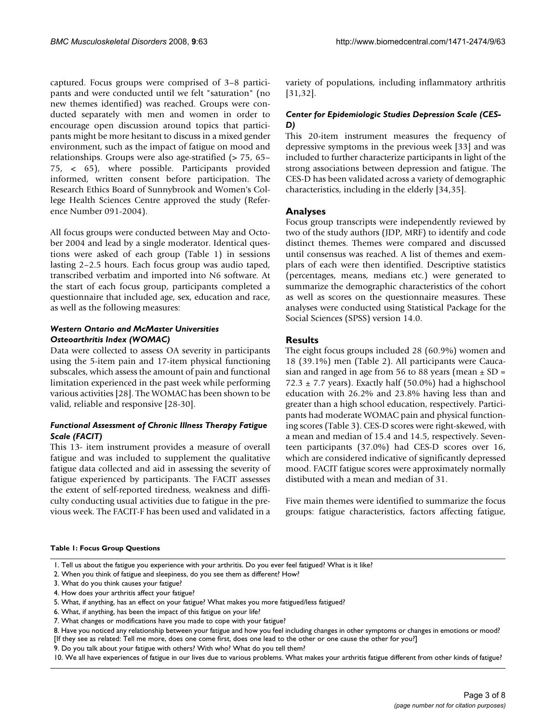captured. Focus groups were comprised of 3–8 participants and were conducted until we felt "saturation" (no new themes identified) was reached. Groups were conducted separately with men and women in order to encourage open discussion around topics that participants might be more hesitant to discuss in a mixed gender environment, such as the impact of fatigue on mood and relationships. Groups were also age-stratified (> 75, 65– 75, < 65), where possible. Participants provided informed, written consent before participation. The Research Ethics Board of Sunnybrook and Women's College Health Sciences Centre approved the study (Reference Number 091-2004).

All focus groups were conducted between May and October 2004 and lead by a single moderator. Identical questions were asked of each group (Table 1) in sessions lasting 2–2.5 hours. Each focus group was audio taped, transcribed verbatim and imported into N6 software. At the start of each focus group, participants completed a questionnaire that included age, sex, education and race, as well as the following measures:

## *Western Ontario and McMaster Universities Osteoarthritis Index (WOMAC)*

Data were collected to assess OA severity in participants using the 5-item pain and 17-item physical functioning subscales, which assess the amount of pain and functional limitation experienced in the past week while performing various activities [28]. The WOMAC has been shown to be valid, reliable and responsive [28-30].

## *Functional Assessment of Chronic Illness Therapy Fatigue Scale (FACIT)*

This 13- item instrument provides a measure of overall fatigue and was included to supplement the qualitative fatigue data collected and aid in assessing the severity of fatigue experienced by participants. The FACIT assesses the extent of self-reported tiredness, weakness and difficulty conducting usual activities due to fatigue in the previous week. The FACIT-F has been used and validated in a variety of populations, including inflammatory arthritis [31,32].

## *Center for Epidemiologic Studies Depression Scale (CES-D)*

This 20-item instrument measures the frequency of depressive symptoms in the previous week [33] and was included to further characterize participants in light of the strong associations between depression and fatigue. The CES-D has been validated across a variety of demographic characteristics, including in the elderly [34,35].

## **Analyses**

Focus group transcripts were independently reviewed by two of the study authors (JDP, MRF) to identify and code distinct themes. Themes were compared and discussed until consensus was reached. A list of themes and exemplars of each were then identified. Descriptive statistics (percentages, means, medians etc.) were generated to summarize the demographic characteristics of the cohort as well as scores on the questionnaire measures. These analyses were conducted using Statistical Package for the Social Sciences (SPSS) version 14.0.

## **Results**

The eight focus groups included 28 (60.9%) women and 18 (39.1%) men (Table 2). All participants were Caucasian and ranged in age from 56 to 88 years (mean  $\pm$  SD = 72.3  $\pm$  7.7 years). Exactly half (50.0%) had a highschool education with 26.2% and 23.8% having less than and greater than a high school education, respectively. Participants had moderate WOMAC pain and physical functioning scores (Table 3). CES-D scores were right-skewed, with a mean and median of 15.4 and 14.5, respectively. Seventeen participants (37.0%) had CES-D scores over 16, which are considered indicative of significantly depressed mood. FACIT fatigue scores were approximately normally distibuted with a mean and median of 31.

Five main themes were identified to summarize the focus groups: fatigue characteristics, factors affecting fatigue,

#### **Table 1: Focus Group Questions**

- 1. Tell us about the fatigue you experience with your arthritis. Do you ever feel fatigued? What is it like?
- 2. When you think of fatigue and sleepiness, do you see them as different? How?
- 3. What do you think causes your fatigue?
- 4. How does your arthritis affect your fatigue?
- 5. What, if anything, has an effect on your fatigue? What makes you more fatigued/less fatigued?
- 6. What, if anything, has been the impact of this fatigue on your life?

9. Do you talk about your fatigue with others? With who? What do you tell them?

<sup>7.</sup> What changes or modifications have you made to cope with your fatigue?

<sup>8.</sup> Have you noticed any relationship between your fatigue and how you feel including changes in other symptoms or changes in emotions or mood? [If they see as related: Tell me more, does one come first, does one lead to the other or one cause the other for you?]

<sup>10.</sup> We all have experiences of fatigue in our lives due to various problems. What makes your arthritis fatigue different from other kinds of fatigue?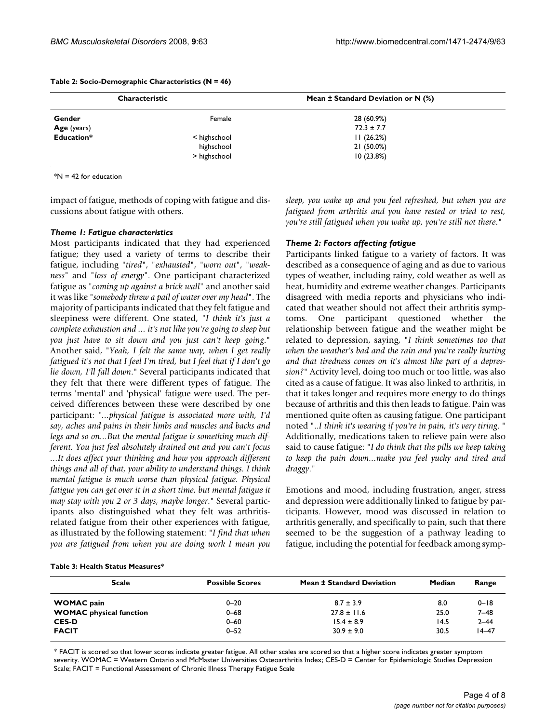| Characteristic    |              | Mean ± Standard Deviation or N (%) |  |
|-------------------|--------------|------------------------------------|--|
| Gender            | Female       | 28 (60.9%)                         |  |
| Age (years)       |              | $72.3 \pm 7.7$                     |  |
| <b>Education*</b> | < highschool | 11(26.2%)                          |  |
|                   | highschool   | 21 (50.0%)                         |  |
|                   | > highschool | 10(23.8%)                          |  |

#### **Table 2: Socio-Demographic Characteristics (N = 46)**

 $*N = 42$  for education

impact of fatigue, methods of coping with fatigue and discussions about fatigue with others.

#### *Theme 1: Fatigue characteristics*

Most participants indicated that they had experienced fatigue; they used a variety of terms to describe their fatigue, including "*tired*", "*exhausted*", "*worn out*", "*weakness*" and "*loss of energy*". One participant characterized fatigue as "*coming up against a brick wall*" and another said it was like "*somebody threw a pail of water over my head*". The majority of participants indicated that they felt fatigue and sleepiness were different. One stated, "*I think it's just a complete exhaustion and ... it's not like you're going to sleep but you just have to sit down and you just can't keep going*." Another said, "*Yeah, I felt the same way, when I get really fatigued it's not that I feel I'm tired, but I feel that if I don't go lie down, I'll fall down*." Several participants indicated that they felt that there were different types of fatigue. The terms 'mental' and 'physical' fatigue were used. The perceived differences between these were described by one participant: *"...physical fatigue is associated more with, I'd say, aches and pains in their limbs and muscles and backs and legs and so on...But the mental fatigue is something much different. You just feel absolutely drained out and you can't focus ...It does affect your thinking and how you approach different things and all of that, your ability to understand things. I think mental fatigue is much worse than physical fatigue. Physical fatigue you can get over it in a short time, but mental fatigue it may stay with you 2 or 3 days, maybe longer*." Several participants also distinguished what they felt was arthritisrelated fatigue from their other experiences with fatigue, as illustrated by the following statement: "*I find that when you are fatigued from when you are doing work I mean you* *sleep, you wake up and you feel refreshed, but when you are fatigued from arthritis and you have rested or tried to rest, you're still fatigued when you wake up, you're still not there*."

#### *Theme 2: Factors affecting fatigue*

Participants linked fatigue to a variety of factors. It was described as a consequence of aging and as due to various types of weather, including rainy, cold weather as well as heat, humidity and extreme weather changes. Participants disagreed with media reports and physicians who indicated that weather should not affect their arthritis symptoms. One participant questioned whether the relationship between fatigue and the weather might be related to depression, saying, "*I think sometimes too that when the weather's bad and the rain and you're really hurting and that tiredness comes on it's almost like part of a depression?*" Activity level, doing too much or too little, was also cited as a cause of fatigue. It was also linked to arthritis, in that it takes longer and requires more energy to do things because of arthritis and this then leads to fatigue. Pain was mentioned quite often as causing fatigue. One participant noted "..*I think it's wearing if you're in pain, it's very tiring*. " Additionally, medications taken to relieve pain were also said to cause fatigue: "*I do think that the pills we keep taking to keep the pain down...make you feel yucky and tired and draggy*."

Emotions and mood, including frustration, anger, stress and depression were additionally linked to fatigue by participants. However, mood was discussed in relation to arthritis generally, and specifically to pain, such that there seemed to be the suggestion of a pathway leading to fatigue, including the potential for feedback among symp-

|  |  |  |  |  | Table 3: Health Status Measures* |
|--|--|--|--|--|----------------------------------|
|--|--|--|--|--|----------------------------------|

| <b>Scale</b>                   | <b>Possible Scores</b> | <b>Mean ± Standard Deviation</b> | Median | Range     |
|--------------------------------|------------------------|----------------------------------|--------|-----------|
| <b>WOMAC</b> pain              | $0 - 20$               | $8.7 \pm 3.9$                    | 8.0    | $0 - 18$  |
| <b>WOMAC</b> physical function | $0 - 68$               | $27.8 \pm 11.6$                  | 25.0   | $7 - 48$  |
| <b>CES-D</b>                   | $0 - 60$               | $15.4 \pm 8.9$                   | 14.5   | $2 - 44$  |
| <b>FACIT</b>                   | $0 - 52$               | $30.9 \pm 9.0$                   | 30.5   | $14 - 47$ |

\* FACIT is scored so that lower scores indicate greater fatigue. All other scales are scored so that a higher score indicates greater symptom severity. WOMAC = Western Ontario and McMaster Universities Osteoarthritis Index; CES-D = Center for Epidemiologic Studies Depression Scale; FACIT = Functional Assessment of Chronic Illness Therapy Fatigue Scale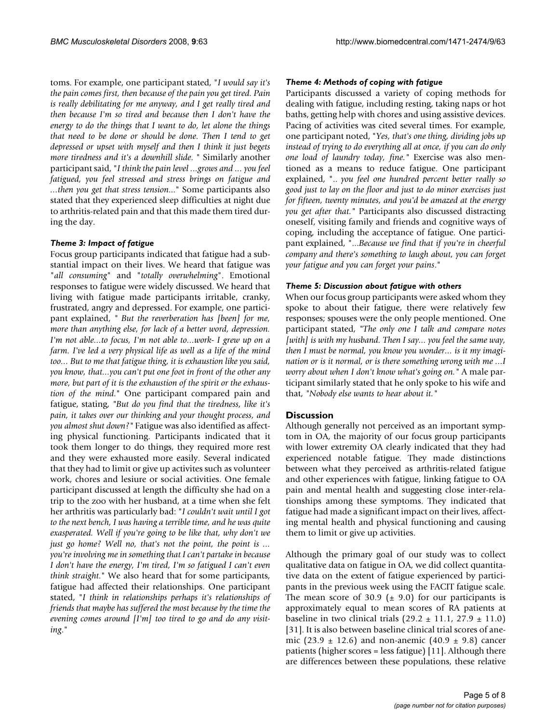toms. For example, one participant stated, "*I would say it's the pain comes first, then because of the pain you get tired. Pain is really debilitating for me anyway, and I get really tired and then because I'm so tired and because then I don't have the energy to do the things that I want to do, let alone the things that need to be done or should be done. Then I tend to get depressed or upset with myself and then I think it just begets more tiredness and it's a downhill slide*. " Similarly another participant said, "*I think the pain level ...grows and ... you feel fatigued, you feel stressed and stress brings on fatigue and ...then you get that stress tension*..." Some participants also stated that they experienced sleep difficulties at night due to arthritis-related pain and that this made them tired during the day.

#### *Theme 3: Impact of fatigue*

Focus group participants indicated that fatigue had a substantial impact on their lives. We heard that fatigue was "*all consuming*" and "*totally overwhelming*". Emotional responses to fatigue were widely discussed. We heard that living with fatigue made participants irritable, cranky, frustrated, angry and depressed. For example, one participant explained, *" But the reverberation has [been] for me, more than anything else, for lack of a better word, depression. I'm not able...to focus, I'm not able to...work- I grew up on a farm. I've led a very physical life as well as a life of the mind too... But to me that fatigue thing, it is exhaustion like you said, you know, that...you can't put one foot in front of the other any more, but part of it is the exhaustion of the spirit or the exhaustion of the mind*." One participant compared pain and fatigue, stating, *"But do you find that the tiredness, like it's pain, it takes over our thinking and your thought process, and you almost shut down?"* Fatigue was also identified as affecting physical functioning. Participants indicated that it took them longer to do things, they required more rest and they were exhausted more easily. Several indicated that they had to limit or give up activites such as volunteer work, chores and lesiure or social activities. One female participant discussed at length the difficulty she had on a trip to the zoo with her husband, at a time when she felt her arthritis was particularly bad: "*I couldn't wait until I got to the next bench, I was having a terrible time, and he was quite exasperated. Well if you're going to be like that, why don't we just go home? Well no, that's not the point, the point is ... you're involving me in something that I can't partake in because I don't have the energy, I'm tired, I'm so fatigued I can't even think straight*." We also heard that for some participants, fatigue had affected their relationships. One participant stated, "*I think in relationships perhaps it's relationships of friends that maybe has suffered the most because by the time the evening comes around [I'm] too tired to go and do any visiting*."

#### *Theme 4: Methods of coping with fatigue*

Participants discussed a variety of coping methods for dealing with fatigue, including resting, taking naps or hot baths, getting help with chores and using assistive devices. Pacing of activities was cited several times. For example, one participant noted, "*Yes, that's one thing, dividing jobs up instead of trying to do everything all at once, if you can do only one load of laundry today, fine."* Exercise was also mentioned as a means to reduce fatigue. One participant explained, ".. *you feel one hundred percent better really so good just to lay on the floor and just to do minor exercises just for fifteen, twenty minutes, and you'd be amazed at the energy you get after that."* Participants also discussed distracting oneself, visiting family and friends and cognitive ways of coping, including the acceptance of fatigue. One participant explained, "...*Because we find that if you're in cheerful company and there's something to laugh about, you can forget your fatigue and you can forget your pains*."

#### *Theme 5: Discussion about fatigue with others*

When our focus group participants were asked whom they spoke to about their fatigue, there were relatively few responses; spouses were the only people mentioned. One participant stated, *"The only one I talk and compare notes [with] is with my husband. Then I say... you feel the same way, then I must be normal, you know you wonder... is it my imagination or is it normal, or is there something wrong with me ...I worry about when I don't know what's going on."* A male participant similarly stated that he only spoke to his wife and that, *"Nobody else wants to hear about it."*

#### **Discussion**

Although generally not perceived as an important symptom in OA, the majority of our focus group participants with lower extremity OA clearly indicated that they had experienced notable fatigue. They made distinctions between what they perceived as arthritis-related fatigue and other experiences with fatigue, linking fatigue to OA pain and mental health and suggesting close inter-relationships among these symptoms. They indicated that fatigue had made a significant impact on their lives, affecting mental health and physical functioning and causing them to limit or give up activities.

Although the primary goal of our study was to collect qualitative data on fatigue in OA, we did collect quantitative data on the extent of fatigue experienced by participants in the previous week using the FACIT fatigue scale. The mean score of 30.9 ( $\pm$  9.0) for our participants is approximately equal to mean scores of RA patients at baseline in two clinical trials  $(29.2 \pm 11.1, 27.9 \pm 11.0)$ [31]. It is also between baseline clinical trial scores of anemic (23.9  $\pm$  12.6) and non-anemic (40.9  $\pm$  9.8) cancer patients (higher scores = less fatigue) [11]. Although there are differences between these populations, these relative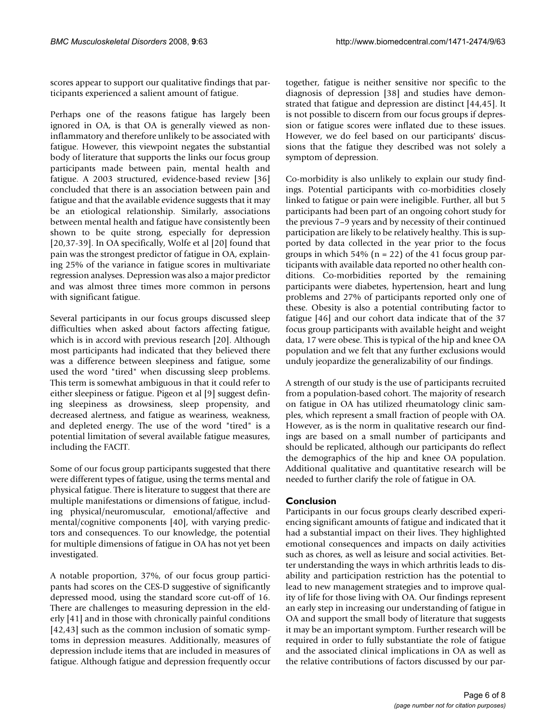scores appear to support our qualitative findings that participants experienced a salient amount of fatigue.

Perhaps one of the reasons fatigue has largely been ignored in OA, is that OA is generally viewed as noninflammatory and therefore unlikely to be associated with fatigue. However, this viewpoint negates the substantial body of literature that supports the links our focus group participants made between pain, mental health and fatigue. A 2003 structured, evidence-based review [36] concluded that there is an association between pain and fatigue and that the available evidence suggests that it may be an etiological relationship. Similarly, associations between mental health and fatigue have consistently been shown to be quite strong, especially for depression [20,37-39]. In OA specifically, Wolfe et al [20] found that pain was the strongest predictor of fatigue in OA, explaining 25% of the variance in fatigue scores in multivariate regression analyses. Depression was also a major predictor and was almost three times more common in persons with significant fatigue.

Several participants in our focus groups discussed sleep difficulties when asked about factors affecting fatigue, which is in accord with previous research [20]. Although most participants had indicated that they believed there was a difference between sleepiness and fatigue, some used the word "tired" when discussing sleep problems. This term is somewhat ambiguous in that it could refer to either sleepiness or fatigue. Pigeon et al [9] suggest defining sleepiness as drowsiness, sleep propensity, and decreased alertness, and fatigue as weariness, weakness, and depleted energy. The use of the word "tired" is a potential limitation of several available fatigue measures, including the FACIT.

Some of our focus group participants suggested that there were different types of fatigue, using the terms mental and physical fatigue. There is literature to suggest that there are multiple manifestations or dimensions of fatigue, including physical/neuromuscular, emotional/affective and mental/cognitive components [40], with varying predictors and consequences. To our knowledge, the potential for multiple dimensions of fatigue in OA has not yet been investigated.

A notable proportion, 37%, of our focus group participants had scores on the CES-D suggestive of significantly depressed mood, using the standard score cut-off of 16. There are challenges to measuring depression in the elderly [41] and in those with chronically painful conditions [42,43] such as the common inclusion of somatic symptoms in depression measures. Additionally, measures of depression include items that are included in measures of fatigue. Although fatigue and depression frequently occur together, fatigue is neither sensitive nor specific to the diagnosis of depression [38] and studies have demonstrated that fatigue and depression are distinct [44,45]. It is not possible to discern from our focus groups if depression or fatigue scores were inflated due to these issues. However, we do feel based on our participants' discussions that the fatigue they described was not solely a symptom of depression.

Co-morbidity is also unlikely to explain our study findings. Potential participants with co-morbidities closely linked to fatigue or pain were ineligible. Further, all but 5 participants had been part of an ongoing cohort study for the previous 7–9 years and by necessity of their continued participation are likely to be relatively healthy. This is supported by data collected in the year prior to the focus groups in which  $54\%$  (n = 22) of the 41 focus group participants with available data reported no other health conditions. Co-morbidities reported by the remaining participants were diabetes, hypertension, heart and lung problems and 27% of participants reported only one of these. Obesity is also a potential contributing factor to fatigue [46] and our cohort data indicate that of the 37 focus group participants with available height and weight data, 17 were obese. This is typical of the hip and knee OA population and we felt that any further exclusions would unduly jeopardize the generalizability of our findings.

A strength of our study is the use of participants recruited from a population-based cohort. The majority of research on fatigue in OA has utilized rheumatology clinic samples, which represent a small fraction of people with OA. However, as is the norm in qualitative research our findings are based on a small number of participants and should be replicated, although our participants do reflect the demographics of the hip and knee OA population. Additional qualitative and quantitative research will be needed to further clarify the role of fatigue in OA.

## **Conclusion**

Participants in our focus groups clearly described experiencing significant amounts of fatigue and indicated that it had a substantial impact on their lives. They highlighted emotional consequences and impacts on daily activities such as chores, as well as leisure and social activities. Better understanding the ways in which arthritis leads to disability and participation restriction has the potential to lead to new management strategies and to improve quality of life for those living with OA. Our findings represent an early step in increasing our understanding of fatigue in OA and support the small body of literature that suggests it may be an important symptom. Further research will be required in order to fully substantiate the role of fatigue and the associated clinical implications in OA as well as the relative contributions of factors discussed by our par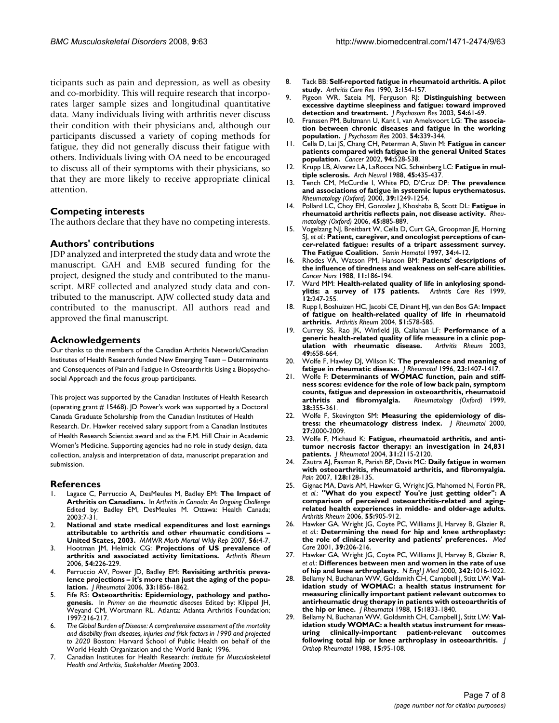ticipants such as pain and depression, as well as obesity and co-morbidity. This will require research that incorporates larger sample sizes and longitudinal quantitative data. Many individuals living with arthritis never discuss their condition with their physicians and, although our participants discussed a variety of coping methods for fatigue, they did not generally discuss their fatigue with others. Individuals living with OA need to be encouraged to discuss all of their symptoms with their physicians, so that they are more likely to receive appropriate clinical attention.

#### **Competing interests**

The authors declare that they have no competing interests.

#### **Authors' contributions**

JDP analyzed and interpreted the study data and wrote the manuscript. GAH and EMB secured funding for the project, designed the study and contributed to the manuscript. MRF collected and analyzed study data and contributed to the manuscript. AJW collected study data and contributed to the manuscript. All authors read and approved the final manuscript.

#### **Acknowledgements**

Our thanks to the members of the Canadian Arthritis Network/Canadian Institutes of Health Research funded New Emerging Team – Determinants and Consequences of Pain and Fatigue in Osteoarthritis Using a Biopsychosocial Approach and the focus group participants.

This project was supported by the Canadian Institutes of Health Research (operating grant # 15468). JD Power's work was supported by a Doctoral Canada Graduate Scholarship from the Canadian Institutes of Health Research. Dr. Hawker received salary support from a Canadian Institutes of Health Research Scientist award and as the F.M. Hill Chair in Academic Women's Medicine. Supporting agencies had no role in study design, data collection, analysis and interpretation of data, manuscript preparation and submission.

#### **References**

- 1. Lagace C, Perruccio A, DesMeules M, Badley EM: **The Impact of Arthritis on Canadians.** In *Arthritis in Canada: An Ongoing Challenge* Edited by: Badley EM, DesMeules M. Ottawa: Health Canada; 2003:7-31.
- <span id="page-6-0"></span>2. **[National and state medical expenditures and lost earnings](http://www.ncbi.nlm.nih.gov/entrez/query.fcgi?cmd=Retrieve&db=PubMed&dopt=Abstract&list_uids=17218935) [attributable to arthritis and other rheumatic conditions –](http://www.ncbi.nlm.nih.gov/entrez/query.fcgi?cmd=Retrieve&db=PubMed&dopt=Abstract&list_uids=17218935) [United States, 2003.](http://www.ncbi.nlm.nih.gov/entrez/query.fcgi?cmd=Retrieve&db=PubMed&dopt=Abstract&list_uids=17218935)** *MMWR Morb Mortal Wkly Rep* 2007, **56:**4-7.
- 3. Hootman JM, Helmick CG: **[Projections of US prevalence of](http://www.ncbi.nlm.nih.gov/entrez/query.fcgi?cmd=Retrieve&db=PubMed&dopt=Abstract&list_uids=16385518) [arthritis and associated activity limitations.](http://www.ncbi.nlm.nih.gov/entrez/query.fcgi?cmd=Retrieve&db=PubMed&dopt=Abstract&list_uids=16385518)** *Arthritis Rheum* 2006, **54:**226-229.
- Perruccio AV, Power JD, Badley EM: [Revisiting arthritis preva](http://www.ncbi.nlm.nih.gov/entrez/query.fcgi?cmd=Retrieve&db=PubMed&dopt=Abstract&list_uids=16960946)**[lence projections – it's more than just the aging of the popu](http://www.ncbi.nlm.nih.gov/entrez/query.fcgi?cmd=Retrieve&db=PubMed&dopt=Abstract&list_uids=16960946)[lation.](http://www.ncbi.nlm.nih.gov/entrez/query.fcgi?cmd=Retrieve&db=PubMed&dopt=Abstract&list_uids=16960946)** *J Rheumatol* 2006, **33:**1856-1862.
- 5. Fife RS: **Osteoarthritis: Epidemiology, pathology and pathogenesis.** In *Primer on the rheumatic diseases* Edited by: Klippel JH, Weyand CM, Wortmann RL. Atlanta: Atlanta Arthritis Foundation; 1997:216-217.
- 6. *The Global Burden of Disease: A comprehensive assessment of the mortality and disability from diseases, injuries and frisk factors in 1990 and projected to 2020* Boston: Harvard School of Public Health on behalf of the World Health Organization and the World Bank; 1996.
- 7. Canadian Institutes for Health Research: *Institute for Musculoskeletal Health and Arthritis, Stakeholder Meeting* 2003.
- 8. Tack BB: **[Self-reported fatigue in rheumatoid arthritis. A pilot](http://www.ncbi.nlm.nih.gov/entrez/query.fcgi?cmd=Retrieve&db=PubMed&dopt=Abstract&list_uids=2285754) [study.](http://www.ncbi.nlm.nih.gov/entrez/query.fcgi?cmd=Retrieve&db=PubMed&dopt=Abstract&list_uids=2285754)** *Arthritis Care Res* 1990, **3:**154-157.
- 9. Pigeon WR, Sateia MJ, Ferguson RJ: **[Distinguishing between](http://www.ncbi.nlm.nih.gov/entrez/query.fcgi?cmd=Retrieve&db=PubMed&dopt=Abstract&list_uids=12505556) [excessive daytime sleepiness and fatigue: toward improved](http://www.ncbi.nlm.nih.gov/entrez/query.fcgi?cmd=Retrieve&db=PubMed&dopt=Abstract&list_uids=12505556) [detection and treatment.](http://www.ncbi.nlm.nih.gov/entrez/query.fcgi?cmd=Retrieve&db=PubMed&dopt=Abstract&list_uids=12505556)** *J Psychosom Res* 2003, **54:**61-69.
- 10. Franssen PM, Bultmann U, Kant I, van Amelsvoort LG: **[The associa](http://www.ncbi.nlm.nih.gov/entrez/query.fcgi?cmd=Retrieve&db=PubMed&dopt=Abstract&list_uids=12670611)[tion between chronic diseases and fatigue in the working](http://www.ncbi.nlm.nih.gov/entrez/query.fcgi?cmd=Retrieve&db=PubMed&dopt=Abstract&list_uids=12670611) [population.](http://www.ncbi.nlm.nih.gov/entrez/query.fcgi?cmd=Retrieve&db=PubMed&dopt=Abstract&list_uids=12670611)** *J Psychosom Res* 2003, **54:**339-344.
- 11. Cella D, Lai JS, Chang CH, Peterman A, Slavin M: **[Fatigue in cancer](http://www.ncbi.nlm.nih.gov/entrez/query.fcgi?cmd=Retrieve&db=PubMed&dopt=Abstract&list_uids=11900238) [patients compared with fatigue in the general United States](http://www.ncbi.nlm.nih.gov/entrez/query.fcgi?cmd=Retrieve&db=PubMed&dopt=Abstract&list_uids=11900238) [population.](http://www.ncbi.nlm.nih.gov/entrez/query.fcgi?cmd=Retrieve&db=PubMed&dopt=Abstract&list_uids=11900238)** *Cancer* 2002, **94:**528-538.
- 12. Krupp LB, Alvarez LA, LaRocca NG, Scheinberg LC: **[Fatigue in mul](http://www.ncbi.nlm.nih.gov/entrez/query.fcgi?cmd=Retrieve&db=PubMed&dopt=Abstract&list_uids=3355400)[tiple sclerosis.](http://www.ncbi.nlm.nih.gov/entrez/query.fcgi?cmd=Retrieve&db=PubMed&dopt=Abstract&list_uids=3355400)** *Arch Neurol* 1988, **45:**435-437.
- 13. Tench CM, McCurdie I, White PD, D'Cruz DP: **[The prevalence](http://www.ncbi.nlm.nih.gov/entrez/query.fcgi?cmd=Retrieve&db=PubMed&dopt=Abstract&list_uids=11085805) [and associations of fatigue in systemic lupus erythematosus.](http://www.ncbi.nlm.nih.gov/entrez/query.fcgi?cmd=Retrieve&db=PubMed&dopt=Abstract&list_uids=11085805)** *Rheumatology (Oxford)* 2000, **39:**1249-1254.
- 14. Pollard LC, Choy EH, Gonzalez J, Khoshaba B, Scott DL: **[Fatigue in](http://www.ncbi.nlm.nih.gov/entrez/query.fcgi?cmd=Retrieve&db=PubMed&dopt=Abstract&list_uids=16449363) [rheumatoid arthritis reflects pain, not disease activity.](http://www.ncbi.nlm.nih.gov/entrez/query.fcgi?cmd=Retrieve&db=PubMed&dopt=Abstract&list_uids=16449363)** *Rheumatology (Oxford)* 2006, **45:**885-889.
- 15. Vogelzang NJ, Breitbart W, Cella D, Curt GA, Groopman JE, Horning SJ, *et al.*: **[Patient, caregiver, and oncologist perceptions of can](http://www.ncbi.nlm.nih.gov/entrez/query.fcgi?cmd=Retrieve&db=PubMed&dopt=Abstract&list_uids=9253778)[cer-related fatigue: results of a tripart assessment survey.](http://www.ncbi.nlm.nih.gov/entrez/query.fcgi?cmd=Retrieve&db=PubMed&dopt=Abstract&list_uids=9253778) [The Fatigue Coalition.](http://www.ncbi.nlm.nih.gov/entrez/query.fcgi?cmd=Retrieve&db=PubMed&dopt=Abstract&list_uids=9253778)** *Semin Hematol* 1997, **34:**4-12.
- 16. Rhodes VA, Watson PM, Hanson BM: **[Patients' descriptions of](http://www.ncbi.nlm.nih.gov/entrez/query.fcgi?cmd=Retrieve&db=PubMed&dopt=Abstract&list_uids=3401854) [the influence of tiredness and weakness on self-care abilities.](http://www.ncbi.nlm.nih.gov/entrez/query.fcgi?cmd=Retrieve&db=PubMed&dopt=Abstract&list_uids=3401854)** *Cancer Nurs* 1988, **11:**186-194.
- 17. Ward MM: **[Health-related quality of life in ankylosing spond](http://www.ncbi.nlm.nih.gov/entrez/query.fcgi?cmd=Retrieve&db=PubMed&dopt=Abstract&list_uids=10689989)[ylitis: a survey of 175 patients.](http://www.ncbi.nlm.nih.gov/entrez/query.fcgi?cmd=Retrieve&db=PubMed&dopt=Abstract&list_uids=10689989)** *Arthritis Care Res* 1999, **12:**247-255.
- 18. Rupp I, Boshuizen HC, Jacobi CE, Dinant HJ, van den Bos GA: **[Impact](http://www.ncbi.nlm.nih.gov/entrez/query.fcgi?cmd=Retrieve&db=PubMed&dopt=Abstract&list_uids=15334430) [of fatigue on health-related quality of life in rheumatoid](http://www.ncbi.nlm.nih.gov/entrez/query.fcgi?cmd=Retrieve&db=PubMed&dopt=Abstract&list_uids=15334430) [arthritis.](http://www.ncbi.nlm.nih.gov/entrez/query.fcgi?cmd=Retrieve&db=PubMed&dopt=Abstract&list_uids=15334430)** *Arthritis Rheum* 2004, **51:**578-585.
- 19. Currey SS, Rao JK, Winfield JB, Callahan LF: **[Performance of a](http://www.ncbi.nlm.nih.gov/entrez/query.fcgi?cmd=Retrieve&db=PubMed&dopt=Abstract&list_uids=14558051) [generic health-related quality of life measure in a clinic pop](http://www.ncbi.nlm.nih.gov/entrez/query.fcgi?cmd=Retrieve&db=PubMed&dopt=Abstract&list_uids=14558051)** $u$ lation with rheumatic disease. **49:**658-664.
- 20. Wolfe F, Hawley DJ, Wilson K: **[The prevalence and meaning of](http://www.ncbi.nlm.nih.gov/entrez/query.fcgi?cmd=Retrieve&db=PubMed&dopt=Abstract&list_uids=8856621) [fatigue in rheumatic disease.](http://www.ncbi.nlm.nih.gov/entrez/query.fcgi?cmd=Retrieve&db=PubMed&dopt=Abstract&list_uids=8856621)** *J Rheumatol* 1996, **23:**1407-1417.
- 21. Wolfe F: **[Determinants of WOMAC function, pain and stiff](http://www.ncbi.nlm.nih.gov/entrez/query.fcgi?cmd=Retrieve&db=PubMed&dopt=Abstract&list_uids=10378714)ness scores: evidence for the role of low back pain, symptom [counts, fatigue and depression in osteoarthritis, rheumatoid](http://www.ncbi.nlm.nih.gov/entrez/query.fcgi?cmd=Retrieve&db=PubMed&dopt=Abstract&list_uids=10378714) [arthritis and fibromyalgia.](http://www.ncbi.nlm.nih.gov/entrez/query.fcgi?cmd=Retrieve&db=PubMed&dopt=Abstract&list_uids=10378714)** *Rheumatology (Oxford)* 1999, **38:**355-361.
- 22. Wolfe F, Skevington SM: **[Measuring the epidemiology of dis](http://www.ncbi.nlm.nih.gov/entrez/query.fcgi?cmd=Retrieve&db=PubMed&dopt=Abstract&list_uids=10955344)[tress: the rheumatology distress index.](http://www.ncbi.nlm.nih.gov/entrez/query.fcgi?cmd=Retrieve&db=PubMed&dopt=Abstract&list_uids=10955344)** *J Rheumatol* 2000, **27:**2000-2009.
- 23. Wolfe F, Michaud K: **[Fatigue, rheumatoid arthritis, and anti](http://www.ncbi.nlm.nih.gov/entrez/query.fcgi?cmd=Retrieve&db=PubMed&dopt=Abstract&list_uids=15517621)[tumor necrosis factor therapy: an investigation in 24,831](http://www.ncbi.nlm.nih.gov/entrez/query.fcgi?cmd=Retrieve&db=PubMed&dopt=Abstract&list_uids=15517621) [patients.](http://www.ncbi.nlm.nih.gov/entrez/query.fcgi?cmd=Retrieve&db=PubMed&dopt=Abstract&list_uids=15517621)** *J Rheumatol* 2004, **31:**2115-2120.
- 24. Zautra AJ, Fasman R, Parish BP, Davis MC: **[Daily fatigue in women](http://www.ncbi.nlm.nih.gov/entrez/query.fcgi?cmd=Retrieve&db=PubMed&dopt=Abstract&list_uids=17055648) [with osteoarthritis, rheumatoid arthritis, and fibromyalgia.](http://www.ncbi.nlm.nih.gov/entrez/query.fcgi?cmd=Retrieve&db=PubMed&dopt=Abstract&list_uids=17055648)** *Pain* 2007, **128:**128-135.
- 25. Gignac MA, Davis AM, Hawker G, Wright JG, Mahomed N, Fortin PR, *et al.*: **["What do you expect? You're just getting older": A](http://www.ncbi.nlm.nih.gov/entrez/query.fcgi?cmd=Retrieve&db=PubMed&dopt=Abstract&list_uids=17139636) comparison of perceived osteoarthritis-related and aging[related health experiences in middle- and older-age adults.](http://www.ncbi.nlm.nih.gov/entrez/query.fcgi?cmd=Retrieve&db=PubMed&dopt=Abstract&list_uids=17139636)** *Arthritis Rheum* 2006, **55:**905-912.
- 26. Hawker GA, Wright JG, Coyte PC, Williams JI, Harvey B, Glazier R, *et al.*: **[Determining the need for hip and knee arthroplasty:](http://www.ncbi.nlm.nih.gov/entrez/query.fcgi?cmd=Retrieve&db=PubMed&dopt=Abstract&list_uids=11242316) [the role of clinical severity and patients' preferences.](http://www.ncbi.nlm.nih.gov/entrez/query.fcgi?cmd=Retrieve&db=PubMed&dopt=Abstract&list_uids=11242316)** *Med Care* 2001, **39:**206-216.
- 27. Hawker GA, Wright JG, Coyte PC, Williams JI, Harvey B, Glazier R, *et al.*: **[Differences between men and women in the rate of use](http://www.ncbi.nlm.nih.gov/entrez/query.fcgi?cmd=Retrieve&db=PubMed&dopt=Abstract&list_uids=10749964) [of hip and knee arthroplasty.](http://www.ncbi.nlm.nih.gov/entrez/query.fcgi?cmd=Retrieve&db=PubMed&dopt=Abstract&list_uids=10749964)** *N Engl J Med* 2000, **342:**1016-1022.
- 28. Bellamy N, Buchanan WW, Goldsmith CH, Campbell J, Stitt LW: **[Val](http://www.ncbi.nlm.nih.gov/entrez/query.fcgi?cmd=Retrieve&db=PubMed&dopt=Abstract&list_uids=3068365)idation study of WOMAC: a health status instrument for [measuring clinically important patient relevant outcomes to](http://www.ncbi.nlm.nih.gov/entrez/query.fcgi?cmd=Retrieve&db=PubMed&dopt=Abstract&list_uids=3068365) antirheumatic drug therapy in patients with osteoarthritis of [the hip or knee.](http://www.ncbi.nlm.nih.gov/entrez/query.fcgi?cmd=Retrieve&db=PubMed&dopt=Abstract&list_uids=3068365)** *J Rheumatol* 1988, **15:**1833-1840.
- 29. Bellamy N, Buchanan WW, Goldsmith CH, Campbell J, Stitt LW: **Validation study WOMAC: a health status instrument for measuring clinically-important patient-relevant outcomes following total hip or knee arthroplasy in osteoarthritis.** *J Orthop Rheumatol* 1988, **15:**95-108.